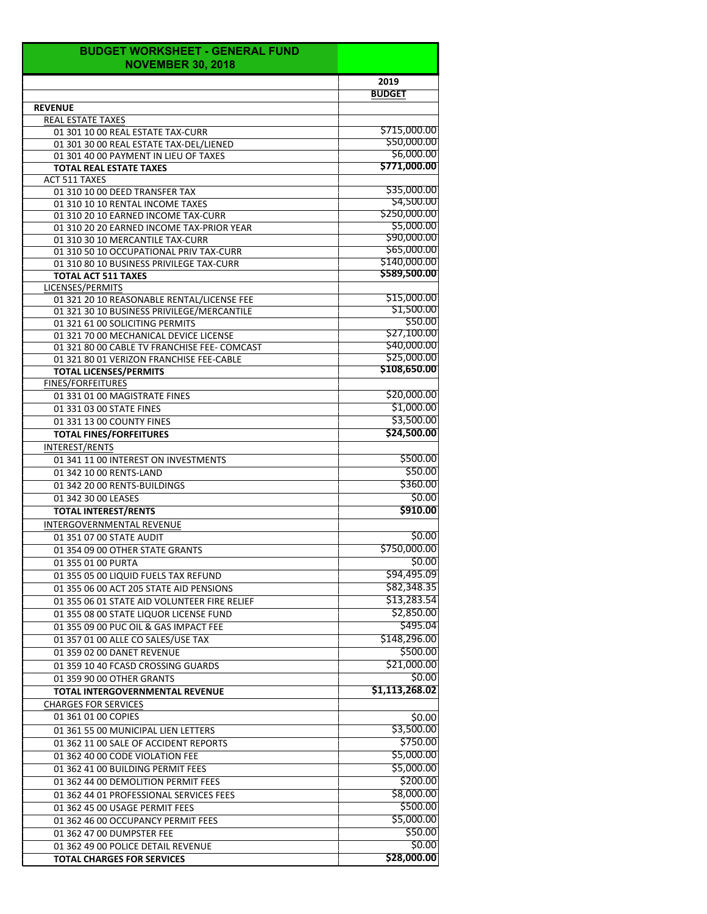| <b>BUDGET WORKSHEET - GENERAL FUND</b><br><b>NOVEMBER 30, 2018</b>            |                            |
|-------------------------------------------------------------------------------|----------------------------|
|                                                                               | 2019                       |
|                                                                               | <b>BUDGET</b>              |
| <b>REVENUE</b>                                                                |                            |
| <b>REAL ESTATE TAXES</b>                                                      |                            |
| 01 301 10 00 REAL ESTATE TAX-CURR                                             | \$715,000.00               |
| 01 301 30 00 REAL ESTATE TAX-DEL/LIENED                                       | \$50,000.00                |
| 01 301 40 00 PAYMENT IN LIEU OF TAXES                                         | \$6,000.00<br>\$771,000.00 |
| <b>TOTAL REAL ESTATE TAXES</b>                                                |                            |
| <b>ACT 511 TAXES</b><br>01 310 10 00 DEED TRANSFER TAX                        | \$35,000.00                |
| 01 310 10 10 RENTAL INCOME TAXES                                              | \$4,500.00                 |
| 01 310 20 10 EARNED INCOME TAX-CURR                                           | \$250,000.00               |
| 01 310 20 20 EARNED INCOME TAX-PRIOR YEAR                                     | \$5,000.00                 |
| 01 310 30 10 MERCANTILE TAX-CURR                                              | \$90,000.00                |
| 01 310 50 10 OCCUPATIONAL PRIV TAX-CURR                                       | \$65,000.00                |
| 01 310 80 10 BUSINESS PRIVILEGE TAX-CURR                                      | \$140,000.00               |
| <b>TOTAL ACT 511 TAXES</b>                                                    | \$589,500.00               |
| LICENSES/PERMITS                                                              |                            |
| 01 321 20 10 REASONABLE RENTAL/LICENSE FEE                                    | \$15,000.00<br>\$1,500.00  |
| 01 321 30 10 BUSINESS PRIVILEGE/MERCANTILE<br>01 321 61 00 SOLICITING PERMITS | S50.00                     |
| 01 321 70 00 MECHANICAL DEVICE LICENSE                                        | \$27,100.00                |
| 01 321 80 00 CABLE TV FRANCHISE FEE- COMCAST                                  | \$40,000.00                |
| 01 321 80 01 VERIZON FRANCHISE FEE-CABLE                                      | \$25,000.00                |
| <b>TOTAL LICENSES/PERMITS</b>                                                 | \$108,650.00               |
| <b>FINES/FORFEITURES</b>                                                      |                            |
| 01 331 01 00 MAGISTRATE FINES                                                 | \$20,000.00                |
| 01 331 03 00 STATE FINES                                                      | \$1,000.00                 |
| 01 331 13 00 COUNTY FINES                                                     | \$3,500.00                 |
| <b>TOTAL FINES/FORFEITURES</b>                                                | \$24,500.00                |
| <b>INTEREST/RENTS</b>                                                         |                            |
| 01 341 11 00 INTEREST ON INVESTMENTS                                          | \$500.00                   |
| 01 342 10 00 RENTS-LAND                                                       | \$50.00                    |
| 01 342 20 00 RENTS-BUILDINGS                                                  | \$360.00                   |
| 01 342 30 00 LEASES                                                           | \$0.00                     |
| <b>TOTAL INTEREST/RENTS</b>                                                   | \$910.00                   |
| INTERGOVERNMENTAL REVENUE                                                     |                            |
| 01 351 07 00 STATE AUDIT                                                      | \$0.00                     |
| 01 354 09 00 OTHER STATE GRANTS                                               | \$750,000.00               |
| 01 355 01 00 PURTA                                                            | \$0.00                     |
| 01 355 05 00 LIQUID FUELS TAX REFUND                                          | \$94,495.09                |
| 01 355 06 00 ACT 205 STATE AID PENSIONS                                       | \$82,348.35                |
| 01 355 06 01 STATE AID VOLUNTEER FIRE RELIEF                                  | \$13,283.54                |
| 01 355 08 00 STATE LIQUOR LICENSE FUND                                        | \$2,850.00                 |
| 01 355 09 00 PUC OIL & GAS IMPACT FEE                                         | \$495.04                   |
| 01 357 01 00 ALLE CO SALES/USE TAX                                            | \$148,296.00               |
| 01 359 02 00 DANET REVENUE                                                    | \$500.00                   |
| 01 359 10 40 FCASD CROSSING GUARDS                                            | \$21,000.00                |
| 01 359 90 00 OTHER GRANTS                                                     | \$0.00                     |
| <b>TOTAL INTERGOVERNMENTAL REVENUE</b>                                        | \$1,113,268.02             |
| <b>CHARGES FOR SERVICES</b>                                                   |                            |
| 01 361 01 00 COPIES                                                           | \$0.00                     |
| 01 361 55 00 MUNICIPAL LIEN LETTERS                                           | \$3,500.00                 |
| 01 362 11 00 SALE OF ACCIDENT REPORTS                                         | \$750.00                   |
| 01 362 40 00 CODE VIOLATION FEE                                               | \$5,000.00                 |
| 01 362 41 00 BUILDING PERMIT FEES                                             | \$5,000.00                 |
| 01 362 44 00 DEMOLITION PERMIT FEES                                           | \$200.00                   |
| 01 362 44 01 PROFESSIONAL SERVICES FEES                                       | \$8,000.00                 |
| 01 362 45 00 USAGE PERMIT FEES                                                | \$500.00                   |
| 01 362 46 00 OCCUPANCY PERMIT FEES                                            | \$5,000.00                 |
| 01 362 47 00 DUMPSTER FEE                                                     | \$50.00                    |
| 01 362 49 00 POLICE DETAIL REVENUE                                            | \$0.00                     |
| <b>TOTAL CHARGES FOR SERVICES</b>                                             | \$28,000.00                |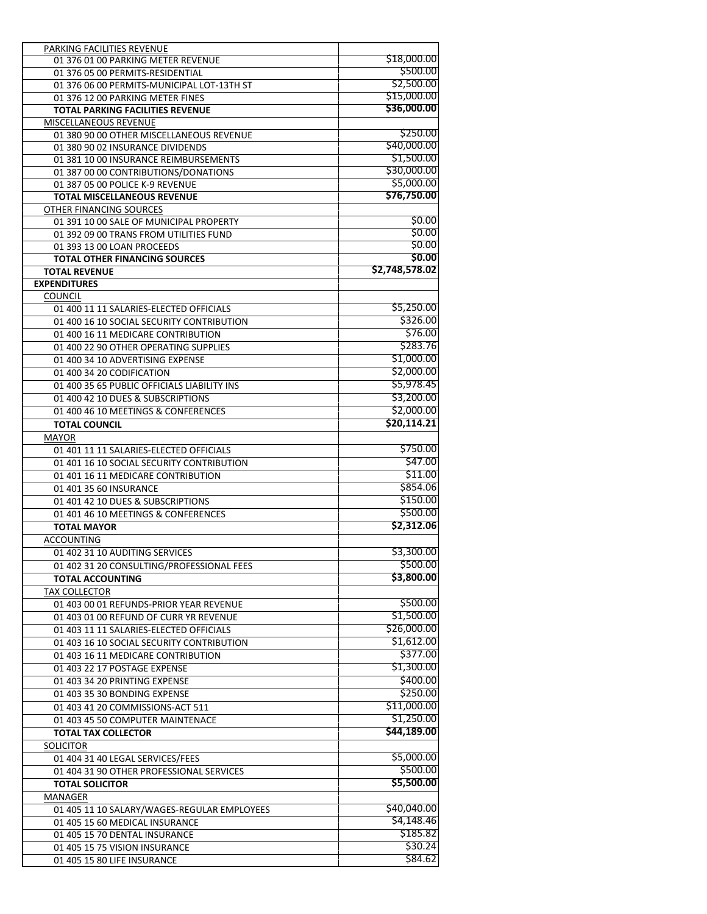| PARKING FACILITIES REVENUE                                      |                |
|-----------------------------------------------------------------|----------------|
| 01 376 01 00 PARKING METER REVENUE                              | \$18,000.00    |
| 01 376 05 00 PERMITS-RESIDENTIAL                                | \$500.00       |
| 01 376 06 00 PERMITS-MUNICIPAL LOT-13TH ST                      | \$2,500.00     |
| 01 376 12 00 PARKING METER FINES                                | \$15,000.00    |
| <b>TOTAL PARKING FACILITIES REVENUE</b>                         | \$36,000.00    |
| MISCELLANEOUS REVENUE                                           |                |
| 01 380 90 00 OTHER MISCELLANEOUS REVENUE                        | \$250.00       |
| 01 380 90 02 INSURANCE DIVIDENDS                                | \$40,000.00    |
| 01 381 10 00 INSURANCE REIMBURSEMENTS                           | \$1,500.00     |
| 01 387 00 00 CONTRIBUTIONS/DONATIONS                            | \$30,000.00    |
| 01 387 05 00 POLICE K-9 REVENUE                                 | \$5,000.00     |
| <b>TOTAL MISCELLANEOUS REVENUE</b>                              | \$76,750.00    |
| OTHER FINANCING SOURCES                                         |                |
| 01 391 10 00 SALE OF MUNICIPAL PROPERTY                         | \$0.00         |
| 01 392 09 00 TRANS FROM UTILITIES FUND                          | \$0.00         |
| 01 393 13 00 LOAN PROCEEDS                                      | \$0.00         |
| <b>TOTAL OTHER FINANCING SOURCES</b>                            | \$0.00         |
| <b>TOTAL REVENUE</b>                                            | \$2,748,578.02 |
| <b>EXPENDITURES</b>                                             |                |
| <b>COUNCIL</b>                                                  |                |
| 01 400 11 11 SALARIES-ELECTED OFFICIALS                         | \$5,250.00     |
| 01 400 16 10 SOCIAL SECURITY CONTRIBUTION                       | \$326.00       |
| 01 400 16 11 MEDICARE CONTRIBUTION                              | \$76.00        |
| 01 400 22 90 OTHER OPERATING SUPPLIES                           | \$283.76       |
| 01 400 34 10 ADVERTISING EXPENSE                                | \$1,000.00     |
| 01 400 34 20 CODIFICATION                                       | \$2,000.00     |
| 01 400 35 65 PUBLIC OFFICIALS LIABILITY INS                     | \$5,978.45     |
| 01 400 42 10 DUES & SUBSCRIPTIONS                               | \$3,200.00     |
| 01 400 46 10 MEETINGS & CONFERENCES                             | \$2,000.00     |
| <b>TOTAL COUNCIL</b>                                            | \$20,114.21    |
| <b>MAYOR</b>                                                    |                |
| 01 401 11 11 SALARIES-ELECTED OFFICIALS                         | \$750.00       |
|                                                                 | \$47.00        |
| 01 401 16 10 SOCIAL SECURITY CONTRIBUTION                       | \$11.00        |
| 01 401 16 11 MEDICARE CONTRIBUTION                              | \$854.06       |
| 01 401 35 60 INSURANCE                                          | \$150.00       |
| 01 401 42 10 DUES & SUBSCRIPTIONS                               |                |
| 01 401 46 10 MEETINGS & CONFERENCES                             | \$500.00       |
| <b>TOTAL MAYOR</b>                                              | \$2,312.06     |
| ACCOUNTING                                                      |                |
| 01 402 31 10 AUDITING SERVICES                                  | \$3,300.00     |
| 01 402 31 20 CONSULTING/PROFESSIONAL FEES                       | \$500.00       |
| <b>TOTAL ACCOUNTING</b>                                         | \$3,800.00     |
| <b>TAX COLLECTOR</b>                                            |                |
| 01 403 00 01 REFUNDS-PRIOR YEAR REVENUE                         | \$500.00       |
| 01 403 01 00 REFUND OF CURR YR REVENUE                          | \$1,500.00     |
| 01 403 11 11 SALARIES-ELECTED OFFICIALS                         | \$26,000.00    |
| 01 403 16 10 SOCIAL SECURITY CONTRIBUTION                       | \$1,612.00     |
| 01 403 16 11 MEDICARE CONTRIBUTION                              | \$377.00       |
| 01 403 22 17 POSTAGE EXPENSE                                    | \$1,300.00     |
| 01 403 34 20 PRINTING EXPENSE                                   | \$400.00       |
| 01 403 35 30 BONDING EXPENSE                                    | \$250.00       |
| 01 403 41 20 COMMISSIONS-ACT 511                                | \$11,000.00    |
| 01 403 45 50 COMPUTER MAINTENACE                                | \$1,250.00     |
| <b>TOTAL TAX COLLECTOR</b>                                      | \$44,189.00    |
| <b>SOLICITOR</b>                                                |                |
| 01 404 31 40 LEGAL SERVICES/FEES                                | \$5,000.00     |
| 01 404 31 90 OTHER PROFESSIONAL SERVICES                        | \$500.00       |
| <b>TOTAL SOLICITOR</b>                                          | \$5,500.00     |
| MANAGER                                                         |                |
|                                                                 | \$40,040.00    |
| 01 405 11 10 SALARY/WAGES-REGULAR EMPLOYEES                     | \$4,148.46     |
| 01 405 15 60 MEDICAL INSURANCE<br>01 405 15 70 DENTAL INSURANCE | \$185.82       |
| 01 405 15 75 VISION INSURANCE                                   | \$30.24        |
|                                                                 | \$84.62        |
| 01 405 15 80 LIFE INSURANCE                                     |                |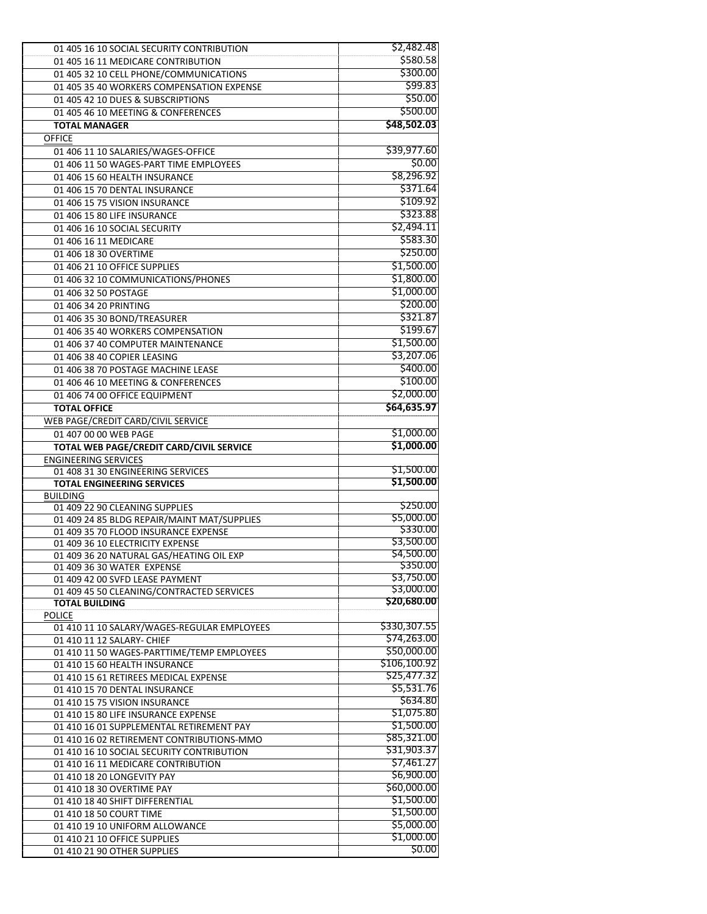| 01 405 16 10 SOCIAL SECURITY CONTRIBUTION                          | \$2,482.48             |
|--------------------------------------------------------------------|------------------------|
| 01 405 16 11 MEDICARE CONTRIBUTION                                 | \$580.58               |
| 01 405 32 10 CELL PHONE/COMMUNICATIONS                             | \$300.00               |
| 01 405 35 40 WORKERS COMPENSATION EXPENSE                          | \$99.83                |
| 01 405 42 10 DUES & SUBSCRIPTIONS                                  | \$50.00                |
| 01 405 46 10 MEETING & CONFERENCES                                 | \$500.00               |
| <b>TOTAL MANAGER</b>                                               | \$48,502.03            |
| <b>OFFICE</b>                                                      |                        |
| 01 406 11 10 SALARIES/WAGES-OFFICE                                 | \$39,977.60            |
| 01 406 11 50 WAGES-PART TIME EMPLOYEES                             | \$0.00                 |
| 01 406 15 60 HEALTH INSURANCE                                      | \$8,296.92             |
| 01 406 15 70 DENTAL INSURANCE                                      | \$371.64               |
| 01 406 15 75 VISION INSURANCE                                      | \$109.92               |
| 01 406 15 80 LIFE INSURANCE                                        | \$323.88               |
| 01 406 16 10 SOCIAL SECURITY                                       | \$2,494.11             |
| 01 406 16 11 MEDICARE                                              | \$583.30               |
| 01 406 18 30 OVERTIME                                              | \$250.00               |
| 01 406 21 10 OFFICE SUPPLIES                                       | \$1,500.00             |
| 01 406 32 10 COMMUNICATIONS/PHONES                                 | \$1,800.00             |
| 01 406 32 50 POSTAGE                                               | \$1,000.00             |
| 01 406 34 20 PRINTING                                              | \$200.00               |
| 01 406 35 30 BOND/TREASURER                                        | \$321.87               |
| 01 406 35 40 WORKERS COMPENSATION                                  | \$199.67               |
| 01 406 37 40 COMPUTER MAINTENANCE                                  | \$1,500.00             |
| 01 406 38 40 COPIER LEASING                                        | \$3,207.06             |
| 01 406 38 70 POSTAGE MACHINE LEASE                                 | \$400.00               |
| 01 406 46 10 MEETING & CONFERENCES                                 | \$100.00               |
| 01 406 74 00 OFFICE EQUIPMENT                                      | \$2,000.00             |
| <b>TOTAL OFFICE</b>                                                | \$64,635.97            |
| WEB PAGE/CREDIT CARD/CIVIL SERVICE                                 |                        |
| 01 407 00 00 WEB PAGE                                              | \$1,000.00             |
| TOTAL WEB PAGE/CREDIT CARD/CIVIL SERVICE                           | \$1,000.00             |
| <b>ENGINEERING SERVICES</b>                                        |                        |
| 01 408 31 30 ENGINEERING SERVICES                                  | \$1,500.00             |
| <b>TOTAL ENGINEERING SERVICES</b>                                  | \$1,500.00             |
| <b>BUILDING</b>                                                    |                        |
| 01 409 22 90 CLEANING SUPPLIES                                     | \$250.00               |
| 01 409 24 85 BLDG REPAIR/MAINT MAT/SUPPLIES                        | \$5,000.00             |
| 01 409 35 70 FLOOD INSURANCE EXPENSE                               | \$330.00               |
| 01 409 36 10 ELECTRICITY EXPENSE                                   | \$3,500.00             |
| 01 409 36 20 NATURAL GAS/HEATING OIL EXP                           | \$4,500.00<br>\$350.00 |
| 01 409 36 30 WATER EXPENSE                                         | \$3,750.00             |
| 01 409 42 00 SVFD LEASE PAYMENT                                    | \$3,000.00             |
| 01 409 45 50 CLEANING/CONTRACTED SERVICES<br><b>TOTAL BUILDING</b> | \$20,680.00            |
| <b>POLICE</b>                                                      |                        |
| 01 410 11 10 SALARY/WAGES-REGULAR EMPLOYEES                        | \$330,307.55           |
| 01 410 11 12 SALARY- CHIEF                                         | \$74,263.00            |
| 01 410 11 50 WAGES-PARTTIME/TEMP EMPLOYEES                         | \$50,000.00            |
| 01 410 15 60 HEALTH INSURANCE                                      | \$106,100.92           |
| 01 410 15 61 RETIREES MEDICAL EXPENSE                              | \$25,477.32            |
| 01 410 15 70 DENTAL INSURANCE                                      | \$5,531.76             |
| 01 410 15 75 VISION INSURANCE                                      | \$634.80               |
| 01 410 15 80 LIFE INSURANCE EXPENSE                                | \$1,075.80             |
| 01 410 16 01 SUPPLEMENTAL RETIREMENT PAY                           | \$1,500.00             |
| 01 410 16 02 RETIREMENT CONTRIBUTIONS-MMO                          |                        |
|                                                                    | \$85,321.00            |
| 01 410 16 10 SOCIAL SECURITY CONTRIBUTION                          | \$31,903.37            |
| 01 410 16 11 MEDICARE CONTRIBUTION                                 | \$7,461.27             |
| 01 410 18 20 LONGEVITY PAY                                         | \$6,900.00             |
| 01 410 18 30 OVERTIME PAY                                          | \$60,000.00            |
| 01 410 18 40 SHIFT DIFFERENTIAL                                    | \$1,500.00             |
| 01 410 18 50 COURT TIME                                            | \$1,500.00             |
| 01 410 19 10 UNIFORM ALLOWANCE                                     | \$5,000.00             |
| 01 410 21 10 OFFICE SUPPLIES<br>01 410 21 90 OTHER SUPPLIES        | \$1,000.00<br>\$0.00   |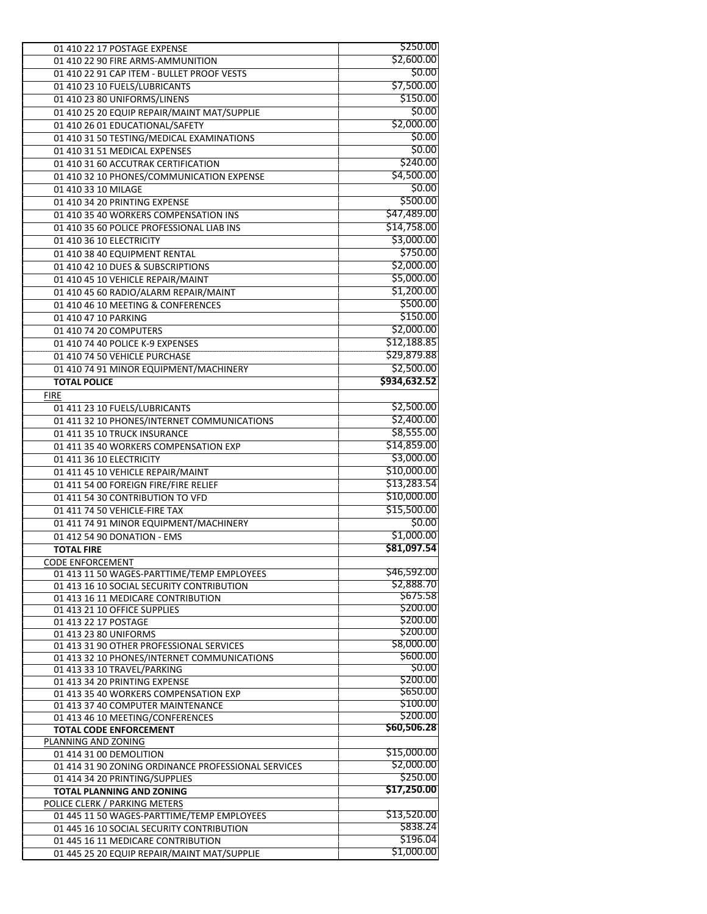| 01 410 22 17 POSTAGE EXPENSE                        | \$250.00     |
|-----------------------------------------------------|--------------|
| 01 410 22 90 FIRE ARMS-AMMUNITION                   | \$2,600.00   |
| 01 410 22 91 CAP ITEM - BULLET PROOF VESTS          | \$0.00       |
| 01 410 23 10 FUELS/LUBRICANTS                       | \$7,500.00   |
| 01 410 23 80 UNIFORMS/LINENS                        | \$150.00     |
| 01 410 25 20 EQUIP REPAIR/MAINT MAT/SUPPLIE         | \$0.00       |
| 01 410 26 01 EDUCATIONAL/SAFETY                     | \$2,000.00   |
| 01 410 31 50 TESTING/MEDICAL EXAMINATIONS           | \$0.00       |
| 01 410 31 51 MEDICAL EXPENSES                       | \$0.00       |
|                                                     | \$240.00     |
| 01 410 31 60 ACCUTRAK CERTIFICATION                 |              |
| 01 410 32 10 PHONES/COMMUNICATION EXPENSE           | \$4,500.00   |
| 01 410 33 10 MILAGE                                 | \$0.00       |
| 01 410 34 20 PRINTING EXPENSE                       | \$500.00     |
| 01 410 35 40 WORKERS COMPENSATION INS               | \$47,489.00  |
| 01 410 35 60 POLICE PROFESSIONAL LIAB INS           | \$14,758.00  |
| 01 410 36 10 ELECTRICITY                            | \$3,000.00   |
| 01 410 38 40 EQUIPMENT RENTAL                       | \$750.00     |
| 01 410 42 10 DUES & SUBSCRIPTIONS                   | \$2,000.00   |
| 01 410 45 10 VEHICLE REPAIR/MAINT                   | \$5,000.00   |
| 01 410 45 60 RADIO/ALARM REPAIR/MAINT               | \$1,200.00   |
| 01 410 46 10 MEETING & CONFERENCES                  | \$500.00     |
| 01 410 47 10 PARKING                                | \$150.00     |
| 01 410 74 20 COMPUTERS                              | \$2,000.00   |
|                                                     | \$12,188.85  |
| 01 410 74 40 POLICE K-9 EXPENSES                    |              |
| 01 410 74 50 VEHICLE PURCHASE                       | \$29,879.88  |
| 01 410 74 91 MINOR EQUIPMENT/MACHINERY              | \$2,500.00   |
| <b>TOTAL POLICE</b>                                 | \$934,632.52 |
| <b>FIRE</b>                                         |              |
| 01 411 23 10 FUELS/LUBRICANTS                       | \$2,500.00   |
| 01 411 32 10 PHONES/INTERNET COMMUNICATIONS         | \$2,400.00   |
| 01 411 35 10 TRUCK INSURANCE                        | \$8,555.00   |
| 01 411 35 40 WORKERS COMPENSATION EXP               | \$14,859.00  |
| 01 411 36 10 ELECTRICITY                            | \$3,000.00   |
| 01 411 45 10 VEHICLE REPAIR/MAINT                   | \$10,000.00  |
| 01 411 54 00 FOREIGN FIRE/FIRE RELIEF               | \$13,283.54  |
| 01 411 54 30 CONTRIBUTION TO VFD                    | \$10,000.00  |
| 01 411 74 50 VEHICLE-FIRE TAX                       | \$15,500.00  |
|                                                     | \$0.00       |
| 01 411 74 91 MINOR EQUIPMENT/MACHINERY              | \$1,000.00   |
| 01 412 54 90 DONATION - EMS                         |              |
| <b>TOTAL FIRE</b>                                   | \$81,097.54  |
| <b>CODE ENFORCEMENT</b>                             |              |
| 01 413 11 50 WAGES-PARTTIME/TEMP EMPLOYEES          | \$46,592.00  |
| 01 413 16 10 SOCIAL SECURITY CONTRIBUTION           | \$2,888.70   |
| 01 413 16 11 MEDICARE CONTRIBUTION                  | \$675.58     |
| 01 413 21 10 OFFICE SUPPLIES                        | \$200.00     |
| 01 413 22 17 POSTAGE                                | \$200.00     |
| 01 413 23 80 UNIFORMS                               | \$200.00     |
| 01 413 31 90 OTHER PROFESSIONAL SERVICES            | \$8,000.00   |
| 01 413 32 10 PHONES/INTERNET COMMUNICATIONS         | \$600.00     |
| 01 413 33 10 TRAVEL/PARKING                         | \$0.00       |
| 01 413 34 20 PRINTING EXPENSE                       | \$200.00     |
| 01 413 35 40 WORKERS COMPENSATION EXP               | \$650.00     |
| 01 413 37 40 COMPUTER MAINTENANCE                   | \$100.00     |
| 01 413 46 10 MEETING/CONFERENCES                    | \$200.00     |
| <b>TOTAL CODE ENFORCEMENT</b>                       | \$60,506.28  |
| PLANNING AND ZONING                                 |              |
| 01 414 31 00 DEMOLITION                             | \$15,000.00  |
| 01 414 31 90 ZONING ORDINANCE PROFESSIONAL SERVICES | \$2,000.00   |
| 01 414 34 20 PRINTING/SUPPLIES                      | \$250.00     |
| <b>TOTAL PLANNING AND ZONING</b>                    | \$17,250.00  |
| POLICE CLERK / PARKING METERS                       |              |
|                                                     |              |
| 01 445 11 50 WAGES-PARTTIME/TEMP EMPLOYEES          | \$13,520.00  |
| 01 445 16 10 SOCIAL SECURITY CONTRIBUTION           | \$838.24     |
| 01 445 16 11 MEDICARE CONTRIBUTION                  | \$196.04     |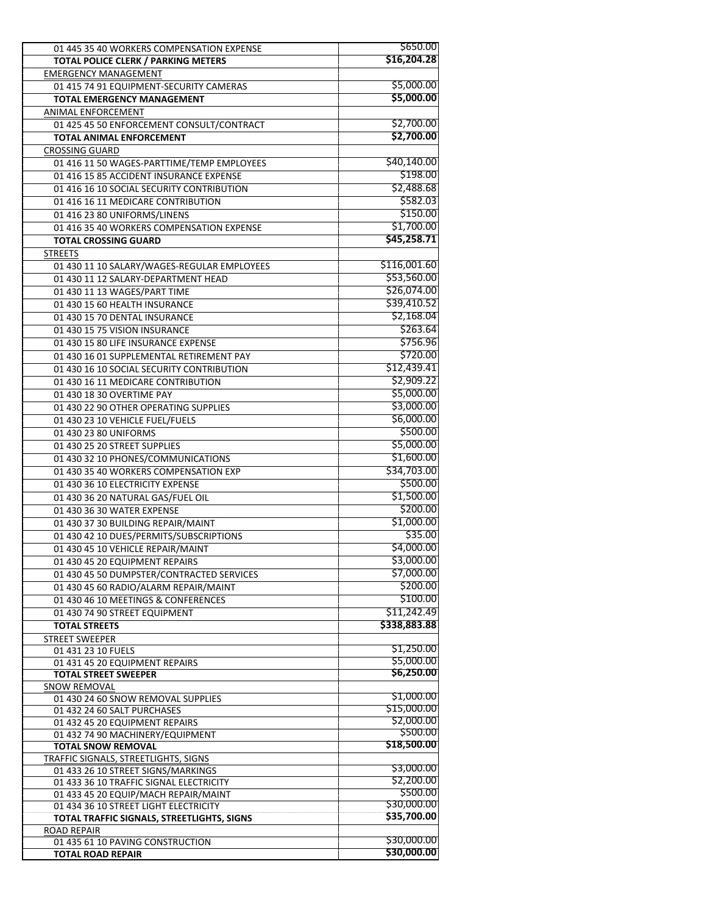| 01 445 35 40 WORKERS COMPENSATION EXPENSE                     | \$650.00                  |
|---------------------------------------------------------------|---------------------------|
| TOTAL POLICE CLERK / PARKING METERS                           | \$16,204.28               |
| <b>EMERGENCY MANAGEMENT</b>                                   |                           |
| 01 415 74 91 EQUIPMENT-SECURITY CAMERAS                       | \$5,000.00                |
| <b>TOTAL EMERGENCY MANAGEMENT</b>                             | \$5,000.00                |
| <b>ANIMAL ENFORCEMENT</b>                                     |                           |
| 01 425 45 50 ENFORCEMENT CONSULT/CONTRACT                     | \$2,700.00                |
| TOTAL ANIMAL ENFORCEMENT                                      | \$2,700.00                |
| <b>CROSSING GUARD</b>                                         |                           |
| 01 416 11 50 WAGES-PARTTIME/TEMP EMPLOYEES                    | \$40,140.00               |
| 01 416 15 85 ACCIDENT INSURANCE EXPENSE                       | \$198.00                  |
| 01 416 16 10 SOCIAL SECURITY CONTRIBUTION                     | \$2,488.68                |
| 01 416 16 11 MEDICARE CONTRIBUTION                            | \$582.03                  |
| 01 416 23 80 UNIFORMS/LINENS                                  | \$150.00                  |
| 01 416 35 40 WORKERS COMPENSATION EXPENSE                     | \$1,700.00                |
| <b>TOTAL CROSSING GUARD</b>                                   | \$45,258.71               |
| <b>STREETS</b>                                                |                           |
| 01 430 11 10 SALARY/WAGES-REGULAR EMPLOYEES                   | \$116,001.60              |
| 01 430 11 12 SALARY-DEPARTMENT HEAD                           | \$53,560.00               |
| 01 430 11 13 WAGES/PART TIME                                  | \$26,074.00               |
| 01 430 15 60 HEALTH INSURANCE                                 | \$39,410.52               |
| 01 430 15 70 DENTAL INSURANCE                                 | \$2,168.04                |
| 01 430 15 75 VISION INSURANCE                                 | \$263.64                  |
| 01 430 15 80 LIFE INSURANCE EXPENSE                           | \$756.96                  |
| 01 430 16 01 SUPPLEMENTAL RETIREMENT PAY                      | \$720.00                  |
| 01 430 16 10 SOCIAL SECURITY CONTRIBUTION                     | \$12,439.41               |
| 01 430 16 11 MEDICARE CONTRIBUTION                            | \$2,909.22                |
| 01 430 18 30 OVERTIME PAY                                     | \$5,000.00                |
| 01 430 22 90 OTHER OPERATING SUPPLIES                         | \$3,000.00                |
| 01 430 23 10 VEHICLE FUEL/FUELS                               | \$6,000.00                |
| 01 430 23 80 UNIFORMS                                         | \$500.00                  |
| 01 430 25 20 STREET SUPPLIES                                  | \$5,000.00                |
| 01 430 32 10 PHONES/COMMUNICATIONS                            | \$1,600.00                |
| 01 430 35 40 WORKERS COMPENSATION EXP                         | \$34,703.00               |
| 01 430 36 10 ELECTRICITY EXPENSE                              | \$500.00                  |
| 01 430 36 20 NATURAL GAS/FUEL OIL                             | \$1,500.00                |
| 01 430 36 30 WATER EXPENSE                                    | \$200.00                  |
| 01 430 37 30 BUILDING REPAIR/MAINT                            | \$1,000.00                |
| 01 430 42 10 DUES/PERMITS/SUBSCRIPTIONS                       | \$35.00                   |
| 01 430 45 10 VEHICLE REPAIR/MAINT                             | \$4,000.00                |
| 01 430 45 20 EQUIPMENT REPAIRS                                | \$3,000.00                |
| 01 430 45 50 DUMPSTER/CONTRACTED SERVICES                     | \$7,000.00                |
| 01 430 45 60 RADIO/ALARM REPAIR/MAINT                         | \$200.00                  |
| 01 430 46 10 MEETINGS & CONFERENCES                           | \$100.00                  |
| 01 430 74 90 STREET EQUIPMENT                                 | \$11,242.49               |
| <b>TOTAL STREETS</b>                                          | \$338,883.88              |
| <b>STREET SWEEPER</b>                                         |                           |
| 01 431 23 10 FUELS                                            | \$1,250.00                |
| 01 431 45 20 EQUIPMENT REPAIRS                                | \$5,000.00                |
| <b>TOTAL STREET SWEEPER</b>                                   | \$6,250.00                |
| SNOW REMOVAL                                                  |                           |
| 01 430 24 60 SNOW REMOVAL SUPPLIES                            | \$1,000.00                |
| 01 432 24 60 SALT PURCHASES                                   | \$15,000.00<br>\$2,000.00 |
| 01 432 45 20 EQUIPMENT REPAIRS                                | \$500.00                  |
| 01 432 74 90 MACHINERY/EQUIPMENT<br><b>TOTAL SNOW REMOVAL</b> | \$18,500.00               |
| TRAFFIC SIGNALS, STREETLIGHTS, SIGNS                          |                           |
| 01 433 26 10 STREET SIGNS/MARKINGS                            | \$3,000.00                |
| 01 433 36 10 TRAFFIC SIGNAL ELECTRICITY                       | \$2,200.00                |
| 01 433 45 20 EQUIP/MACH REPAIR/MAINT                          | \$500.00                  |
| 01 434 36 10 STREET LIGHT ELECTRICITY                         | \$30,000.00               |
| TOTAL TRAFFIC SIGNALS, STREETLIGHTS, SIGNS                    | \$35,700.00               |
| <b>ROAD REPAIR</b>                                            |                           |
| 01 435 61 10 PAVING CONSTRUCTION                              | \$30,000.00               |
| <b>TOTAL ROAD REPAIR</b>                                      | \$30,000.00               |